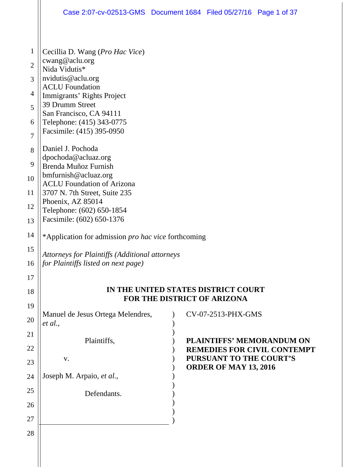|                | Case 2:07-cv-02513-GMS  Document 1684  Filed 05/27/16  Page 1 of 37                                                                                                                                |  |                                                                        |  |  |  |
|----------------|----------------------------------------------------------------------------------------------------------------------------------------------------------------------------------------------------|--|------------------------------------------------------------------------|--|--|--|
|                |                                                                                                                                                                                                    |  |                                                                        |  |  |  |
| $\mathbf{1}$   | Cecillia D. Wang (Pro Hac Vice)                                                                                                                                                                    |  |                                                                        |  |  |  |
| $\overline{2}$ | cwang@aclu.org                                                                                                                                                                                     |  |                                                                        |  |  |  |
| 3              | Nida Vidutis*<br>nvidutis@aclu.org<br><b>ACLU</b> Foundation<br>Immigrants' Rights Project<br>39 Drumm Street<br>San Francisco, CA 94111<br>Telephone: (415) 343-0775<br>Facsimile: (415) 395-0950 |  |                                                                        |  |  |  |
| $\overline{4}$ |                                                                                                                                                                                                    |  |                                                                        |  |  |  |
| 5              |                                                                                                                                                                                                    |  |                                                                        |  |  |  |
| 6              |                                                                                                                                                                                                    |  |                                                                        |  |  |  |
| 7              |                                                                                                                                                                                                    |  |                                                                        |  |  |  |
| 8              | Daniel J. Pochoda                                                                                                                                                                                  |  |                                                                        |  |  |  |
| 9              | dpochoda@acluaz.org<br>Brenda Muñoz Furnish                                                                                                                                                        |  |                                                                        |  |  |  |
| 10             | bmfurnish@acluaz.org<br><b>ACLU</b> Foundation of Arizona<br>3707 N. 7th Street, Suite 235<br>Phoenix, AZ 85014<br>Telephone: (602) 650-1854<br>Facsimile: (602) 650-1376                          |  |                                                                        |  |  |  |
| 11             |                                                                                                                                                                                                    |  |                                                                        |  |  |  |
| 12             |                                                                                                                                                                                                    |  |                                                                        |  |  |  |
| 13             |                                                                                                                                                                                                    |  |                                                                        |  |  |  |
| 14             | *Application for admission pro hac vice forthcoming                                                                                                                                                |  |                                                                        |  |  |  |
| 15             |                                                                                                                                                                                                    |  |                                                                        |  |  |  |
| 16             | Attorneys for Plaintiffs (Additional attorneys<br><i>for Plaintiffs listed on next page)</i>                                                                                                       |  |                                                                        |  |  |  |
| 17             |                                                                                                                                                                                                    |  |                                                                        |  |  |  |
| 18             | IN THE UNITED STATES DISTRICT COURT                                                                                                                                                                |  |                                                                        |  |  |  |
| 19             | FOR THE DISTRICT OF ARIZONA                                                                                                                                                                        |  |                                                                        |  |  |  |
| 20             | Manuel de Jesus Ortega Melendres,<br>et al.,                                                                                                                                                       |  | CV-07-2513-PHX-GMS                                                     |  |  |  |
| 21             |                                                                                                                                                                                                    |  |                                                                        |  |  |  |
| 22             | Plaintiffs,                                                                                                                                                                                        |  | <b>PLAINTIFFS' MEMORANDUM ON</b><br><b>REMEDIES FOR CIVIL CONTEMPT</b> |  |  |  |
| 23             | <b>PURSUANT TO THE COURT'S</b><br>V.<br><b>ORDER OF MAY 13, 2016</b>                                                                                                                               |  |                                                                        |  |  |  |
| 24             | Joseph M. Arpaio, et al.,                                                                                                                                                                          |  |                                                                        |  |  |  |
| 25             | Defendants.                                                                                                                                                                                        |  |                                                                        |  |  |  |
| 26             |                                                                                                                                                                                                    |  |                                                                        |  |  |  |
| 27             |                                                                                                                                                                                                    |  |                                                                        |  |  |  |
| 28             |                                                                                                                                                                                                    |  |                                                                        |  |  |  |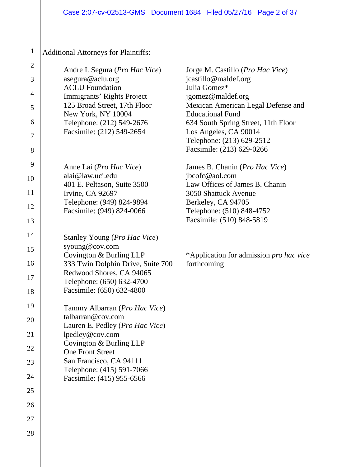## Additional Attorneys for Plaintiffs:

| $\overline{2}$<br>3<br>4<br>5<br>6<br>7<br>8 | Andre I. Segura ( <i>Pro Hac Vice</i> )<br>asegura@aclu.org<br><b>ACLU</b> Foundation<br>Immigrants' Rights Project<br>125 Broad Street, 17th Floor<br>New York, NY 10004<br>Telephone: (212) 549-2676<br>Facsimile: (212) 549-2654                          | Jorge M. Castillo ( <i>Pro Hac Vice</i> )<br>jcastillo@maldef.org<br>Julia Gomez*<br>jgomez@maldef.org<br>Mexican American Legal Defense and<br><b>Educational Fund</b><br>634 South Spring Street, 11th Floor<br>Los Angeles, CA 90014<br>Telephone: (213) 629-2512<br>Facsimile: (213) 629-0266 |
|----------------------------------------------|--------------------------------------------------------------------------------------------------------------------------------------------------------------------------------------------------------------------------------------------------------------|---------------------------------------------------------------------------------------------------------------------------------------------------------------------------------------------------------------------------------------------------------------------------------------------------|
| 9<br>10<br>11<br>12<br>13                    | Anne Lai ( <i>Pro Hac Vice</i> )<br>alai@law.uci.edu<br>401 E. Peltason, Suite 3500<br>Irvine, CA 92697<br>Telephone: (949) 824-9894<br>Facsimile: (949) 824-0066                                                                                            | James B. Chanin (Pro Hac Vice)<br>jbcofc@aol.com<br>Law Offices of James B. Chanin<br>3050 Shattuck Avenue<br>Berkeley, CA 94705<br>Telephone: (510) 848-4752<br>Facsimile: (510) 848-5819                                                                                                        |
| 14<br>15<br>16<br>17<br>18                   | Stanley Young ( <i>Pro Hac Vice</i> )<br>syoung@cov.com<br>Covington & Burling LLP<br>333 Twin Dolphin Drive, Suite 700<br>Redwood Shores, CA 94065<br>Telephone: (650) 632-4700<br>Facsimile: (650) 632-4800                                                | *Application for admission <i>pro hac vice</i><br>forthcoming                                                                                                                                                                                                                                     |
| 19<br>20<br>21<br>22<br>23<br>24<br>25       | Tammy Albarran (Pro Hac Vice)<br>talbarran@cov.com<br>Lauren E. Pedley ( <i>Pro Hac Vice</i> )<br>lpedley@cov.com<br>Covington & Burling LLP<br><b>One Front Street</b><br>San Francisco, CA 94111<br>Telephone: (415) 591-7066<br>Facsimile: (415) 955-6566 |                                                                                                                                                                                                                                                                                                   |
| 26<br>27<br>28                               |                                                                                                                                                                                                                                                              |                                                                                                                                                                                                                                                                                                   |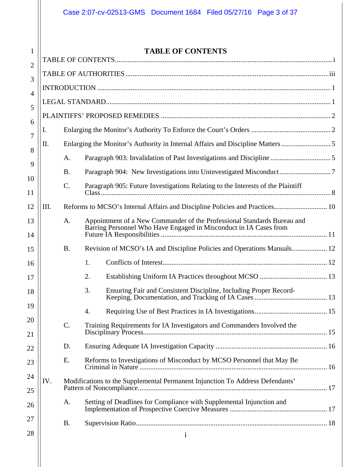1

### **TABLE OF CONTENTS**

| $\overline{2}$ |      |                                                                               |                                                                                                                                              |  |
|----------------|------|-------------------------------------------------------------------------------|----------------------------------------------------------------------------------------------------------------------------------------------|--|
| 3              |      |                                                                               |                                                                                                                                              |  |
| 4              |      |                                                                               |                                                                                                                                              |  |
| 5              |      |                                                                               |                                                                                                                                              |  |
| 6              |      |                                                                               |                                                                                                                                              |  |
| 7              | I.   |                                                                               |                                                                                                                                              |  |
| 8              | II.  | Enlarging the Monitor's Authority in Internal Affairs and Discipline Matters5 |                                                                                                                                              |  |
|                |      | A.                                                                            |                                                                                                                                              |  |
| 9              |      | <b>B.</b>                                                                     |                                                                                                                                              |  |
| 10<br>11       |      | $\mathcal{C}$ .                                                               | Paragraph 905: Future Investigations Relating to the Interests of the Plaintiff                                                              |  |
| 12             | III. |                                                                               |                                                                                                                                              |  |
| 13<br>14       |      | A.                                                                            | Appointment of a New Commander of the Professional Standards Bureau and<br>Barring Personnel Who Have Engaged in Misconduct in IA Cases from |  |
| 15             |      | <b>B.</b>                                                                     | Revision of MCSO's IA and Discipline Policies and Operations Manuals 12                                                                      |  |
| 16             |      |                                                                               | 1.                                                                                                                                           |  |
| 17             |      |                                                                               | 2.                                                                                                                                           |  |
| 18             |      |                                                                               | 3.<br>Ensuring Fair and Consistent Discipline, Including Proper Record-                                                                      |  |
| 19             |      |                                                                               | 4.                                                                                                                                           |  |
| $20\,$<br>21   |      | C.                                                                            | Training Requirements for IA Investigators and Commanders Involved the                                                                       |  |
| 22             |      | D.                                                                            |                                                                                                                                              |  |
| 23             |      | E.                                                                            | Reforms to Investigations of Misconduct by MCSO Personnel that May Be                                                                        |  |
| 24             | IV.  |                                                                               | Modifications to the Supplemental Permanent Injunction To Address Defendants'                                                                |  |
| 25<br>26       |      | A.                                                                            | Setting of Deadlines for Compliance with Supplemental Injunction and                                                                         |  |
| 27             |      | <b>B.</b>                                                                     |                                                                                                                                              |  |
| 28             |      |                                                                               | $\mathbf{i}$                                                                                                                                 |  |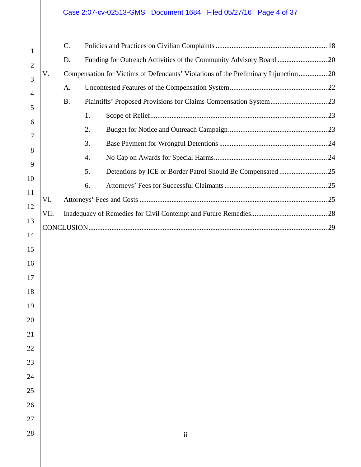## Case 2:07-cv-02513-GMS Document 1684 Filed 05/27/16 Page 4 of 37

| $\mathbf{1}$ |      | C.        |                                                                                     |  |
|--------------|------|-----------|-------------------------------------------------------------------------------------|--|
| 2            |      | D.        | Funding for Outreach Activities of the Community Advisory Board  20                 |  |
| 3            | V.   |           | Compensation for Victims of Defendants' Violations of the Preliminary Injunction 20 |  |
| 4            |      | A.        |                                                                                     |  |
| 5            |      | <b>B.</b> |                                                                                     |  |
| 6            |      |           | 1.                                                                                  |  |
| 7            |      |           | 2.                                                                                  |  |
| 8            |      |           | 3.                                                                                  |  |
| 9            |      |           | 4.                                                                                  |  |
| 10           |      |           | 5.                                                                                  |  |
|              |      |           | 6.                                                                                  |  |
| 11           | VI.  |           |                                                                                     |  |
| 12           | VII. |           |                                                                                     |  |
| 13           |      |           |                                                                                     |  |
| 14           |      |           |                                                                                     |  |
| 15           |      |           |                                                                                     |  |
| 16           |      |           |                                                                                     |  |
| 17           |      |           |                                                                                     |  |
| 18           |      |           |                                                                                     |  |
| 19           |      |           |                                                                                     |  |
| $20\,$       |      |           |                                                                                     |  |
| 21           |      |           |                                                                                     |  |
| $22\,$       |      |           |                                                                                     |  |
| 23           |      |           |                                                                                     |  |
| 24           |      |           |                                                                                     |  |
| 25           |      |           |                                                                                     |  |
| 26           |      |           |                                                                                     |  |
| 27           |      |           |                                                                                     |  |
| 28           |      |           | $\rm ii$                                                                            |  |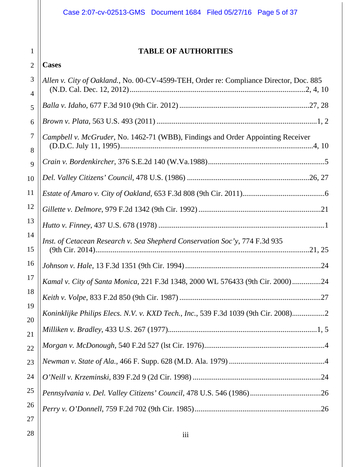## **TABLE OF AUTHORITIES**

#### 2 **Cases**

1

| 3<br>4   | Allen v. City of Oakland., No. 00-CV-4599-TEH, Order re: Compliance Director, Doc. 885 |
|----------|----------------------------------------------------------------------------------------|
| 5        |                                                                                        |
| 6        |                                                                                        |
| 7<br>8   | Campbell v. McGruder, No. 1462-71 (WBB), Findings and Order Appointing Receiver        |
| 9        |                                                                                        |
| 10       |                                                                                        |
| 11       |                                                                                        |
| 12       |                                                                                        |
| 13       |                                                                                        |
| 14<br>15 | Inst. of Cetacean Research v. Sea Shepherd Conservation Soc'y, 774 F.3d 935            |
| 16       |                                                                                        |
| 17       | Kamal v. City of Santa Monica, 221 F.3d 1348, 2000 WL 576433 (9th Cir. 2000)24         |
| 18       |                                                                                        |
| 19       | Koninklijke Philips Elecs. N.V. v. KXD Tech., Inc., 539 F.3d 1039 (9th Cir. 2008)2     |
| 20<br>21 |                                                                                        |
| 22       |                                                                                        |
| 23       |                                                                                        |
| 24       |                                                                                        |
| 25       |                                                                                        |
| 26       |                                                                                        |
| 27       |                                                                                        |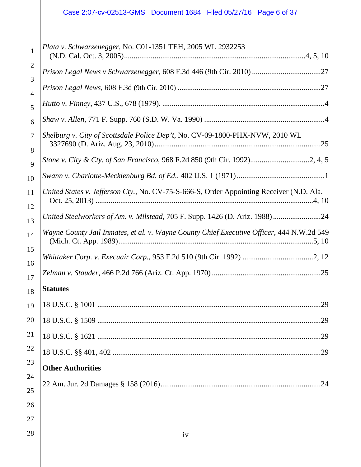| $\mathbf{1}$        | Plata v. Schwarzenegger, No. C01-1351 TEH, 2005 WL 2932253                                |
|---------------------|-------------------------------------------------------------------------------------------|
| $\overline{2}$      |                                                                                           |
| 3                   |                                                                                           |
| $\overline{4}$<br>5 |                                                                                           |
| 6                   |                                                                                           |
| 7                   | Shelburg v. City of Scottsdale Police Dep't, No. CV-09-1800-PHX-NVW, 2010 WL              |
| 8<br>9              | Stone v. City & Cty. of San Francisco, 968 F.2d 850 (9th Cir. 1992)2, 4, 5                |
| 10                  |                                                                                           |
| 11                  | United States v. Jefferson Cty., No. CV-75-S-666-S, Order Appointing Receiver (N.D. Ala.  |
| 12<br>13            | United Steelworkers of Am. v. Milstead, 705 F. Supp. 1426 (D. Ariz. 1988)24               |
| 14                  | Wayne County Jail Inmates, et al. v. Wayne County Chief Executive Officer, 444 N.W.2d 549 |
| 15                  |                                                                                           |
| 16<br>17            |                                                                                           |
| 18                  | <b>Statutes</b>                                                                           |
| 19                  |                                                                                           |
| 20                  |                                                                                           |
| 21                  |                                                                                           |
| 22                  |                                                                                           |
| 23                  | <b>Other Authorities</b>                                                                  |
| 24<br>25            |                                                                                           |
| 26                  |                                                                                           |
| 27                  |                                                                                           |
| 28                  | iv                                                                                        |
|                     |                                                                                           |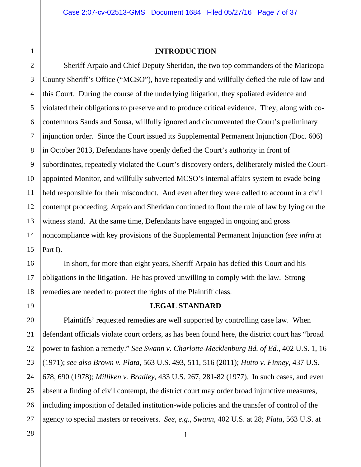#### **INTRODUCTION**

Sheriff Arpaio and Chief Deputy Sheridan, the two top commanders of the Maricopa County Sheriff's Office ("MCSO"), have repeatedly and willfully defied the rule of law and this Court. During the course of the underlying litigation, they spoliated evidence and violated their obligations to preserve and to produce critical evidence. They, along with cocontemnors Sands and Sousa, willfully ignored and circumvented the Court's preliminary injunction order. Since the Court issued its Supplemental Permanent Injunction (Doc. 606) in October 2013, Defendants have openly defied the Court's authority in front of subordinates, repeatedly violated the Court's discovery orders, deliberately misled the Courtappointed Monitor, and willfully subverted MCSO's internal affairs system to evade being held responsible for their misconduct. And even after they were called to account in a civil contempt proceeding, Arpaio and Sheridan continued to flout the rule of law by lying on the witness stand. At the same time, Defendants have engaged in ongoing and gross noncompliance with key provisions of the Supplemental Permanent Injunction (*see infra* at Part I).

In short, for more than eight years, Sheriff Arpaio has defied this Court and his obligations in the litigation. He has proved unwilling to comply with the law. Strong remedies are needed to protect the rights of the Plaintiff class.

19

1

2

3

4

5

6

7

8

9

10

11

12

13

14

15

16

17

18

20

21

22

23

24

25

#### **LEGAL STANDARD**

26 Plaintiffs' requested remedies are well supported by controlling case law. When defendant officials violate court orders, as has been found here, the district court has "broad power to fashion a remedy." *See Swann v. Charlotte-Mecklenburg Bd. of Ed.*, 402 U.S. 1, 16 (1971); *see also Brown v. Plata*, 563 U.S. 493, 511, 516 (2011); *Hutto v. Finney*, 437 U.S. 678, 690 (1978); *Milliken v. Bradley*, 433 U.S. 267, 281-82 (1977). In such cases, and even absent a finding of civil contempt, the district court may order broad injunctive measures, including imposition of detailed institution-wide policies and the transfer of control of the agency to special masters or receivers. *See*, *e.g.*, *Swann*, 402 U.S. at 28; *Plata*, 563 U.S. at

1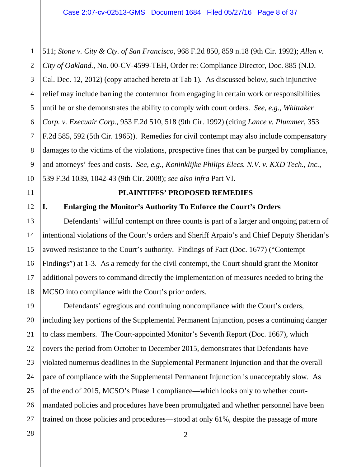1 2 3 4 5 6 7 8 9 10 511; *Stone v. City & Cty. of San Francisco*, 968 F.2d 850, 859 n.18 (9th Cir. 1992); *Allen v. City of Oakland.*, No. 00-CV-4599-TEH, Order re: Compliance Director, Doc. 885 (N.D. Cal. Dec. 12, 2012) (copy attached hereto at Tab 1). As discussed below, such injunctive relief may include barring the contemnor from engaging in certain work or responsibilities until he or she demonstrates the ability to comply with court orders. *See, e.g., Whittaker Corp. v. Execuair Corp.*, 953 F.2d 510, 518 (9th Cir. 1992) (citing *Lance v. Plummer*, 353 F.2d 585, 592 (5th Cir. 1965)). Remedies for civil contempt may also include compensatory damages to the victims of the violations, prospective fines that can be purged by compliance, and attorneys' fees and costs. *See*, *e.g.*, *Koninklijke Philips Elecs. N.V. v. KXD Tech., Inc.*, 539 F.3d 1039, 1042-43 (9th Cir. 2008); *see also infra* Part VI.

#### **PLAINTIFFS' PROPOSED REMEDIES**

#### **I. Enlarging the Monitor's Authority To Enforce the Court's Orders**

Defendants' willful contempt on three counts is part of a larger and ongoing pattern of intentional violations of the Court's orders and Sheriff Arpaio's and Chief Deputy Sheridan's avowed resistance to the Court's authority. Findings of Fact (Doc. 1677) ("Contempt Findings") at 1-3. As a remedy for the civil contempt, the Court should grant the Monitor additional powers to command directly the implementation of measures needed to bring the MCSO into compliance with the Court's prior orders.

19 Defendants' egregious and continuing noncompliance with the Court's orders, including key portions of the Supplemental Permanent Injunction, poses a continuing danger to class members. The Court-appointed Monitor's Seventh Report (Doc. 1667), which covers the period from October to December 2015, demonstrates that Defendants have violated numerous deadlines in the Supplemental Permanent Injunction and that the overall pace of compliance with the Supplemental Permanent Injunction is unacceptably slow. As of the end of 2015, MCSO's Phase 1 compliance—which looks only to whether courtmandated policies and procedures have been promulgated and whether personnel have been trained on those policies and procedures—stood at only 61%, despite the passage of more

11

12

13

14

15

16

17

18

20

21

22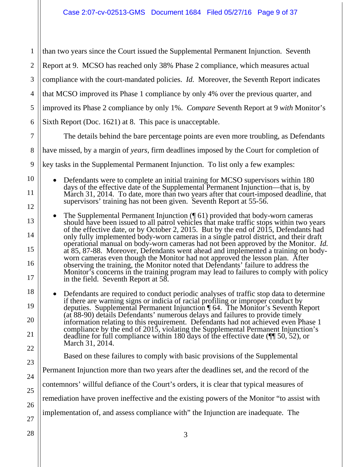1 2 3 4 5 6 7 8 9 10 11 12 13 14 15 16 17 18 19 20 21 22 23 24 25 26 27 than two years since the Court issued the Supplemental Permanent Injunction. Seventh Report at 9. MCSO has reached only 38% Phase 2 compliance, which measures actual compliance with the court-mandated policies. *Id.* Moreover, the Seventh Report indicates that MCSO improved its Phase 1 compliance by only 4% over the previous quarter, and improved its Phase 2 compliance by only 1%. *Compare* Seventh Report at 9 *with* Monitor's Sixth Report (Doc. 1621) at 8. This pace is unacceptable. The details behind the bare percentage points are even more troubling, as Defendants have missed, by a margin of *years*, firm deadlines imposed by the Court for completion of key tasks in the Supplemental Permanent Injunction. To list only a few examples: Defendants were to complete an initial training for MCSO supervisors within 180 days of the effective date of the Supplemental Permanent Injunction—that is, by March 31, 2014. To date, more than two years after that court-imposed deadline, that supervisors' training has not been given. Seventh Report at 55-56. The Supplemental Permanent Injunction (¶ 61) provided that body-worn cameras should have been issued to all patrol vehicles that make traffic stops within two years of the effective date, or by October 2, 2015. But by the end of 2015, Defendants had only fully implemented body-worn cameras in a single patrol district, and their draft operational manual on body-worn cameras had not been approved by the Monitor. *Id.* at 85, 87-88. Moreover, Defendants went ahead and implemented a training on bodyworn cameras even though the Monitor had not approved the lesson plan. After observing the training, the Monitor noted that Defendants' failure to address the Monitor's concerns in the training program may lead to failures to comply with policy in the field. Seventh Report at 58. Defendants are required to conduct periodic analyses of traffic stop data to determine if there are warning signs or indicia of racial profiling or improper conduct by deputies. Supplemental Permanent Injunction ¶ 64. The Monitor's Seventh Report (at 88-90) details Defendants' numerous delays and failures to provide timely information relating to this requirement. Defendants had not achieved even Phase 1 compliance by the end of 2015, violating the Supplemental Permanent Injunction's deadline for full compliance within 180 days of the effective date (¶¶ 50, 52), or March 31, 2014. Based on these failures to comply with basic provisions of the Supplemental Permanent Injunction more than two years after the deadlines set, and the record of the contemnors' willful defiance of the Court's orders, it is clear that typical measures of remediation have proven ineffective and the existing powers of the Monitor "to assist with implementation of, and assess compliance with" the Injunction are inadequate. The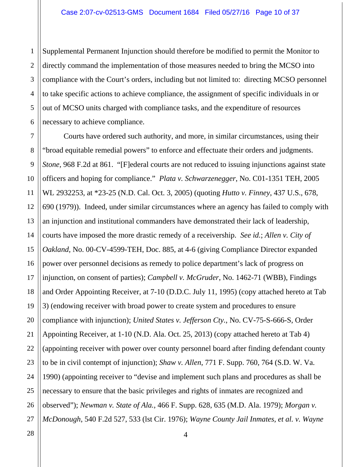1 2 3 4 5 6 Supplemental Permanent Injunction should therefore be modified to permit the Monitor to directly command the implementation of those measures needed to bring the MCSO into compliance with the Court's orders, including but not limited to: directing MCSO personnel to take specific actions to achieve compliance, the assignment of specific individuals in or out of MCSO units charged with compliance tasks, and the expenditure of resources necessary to achieve compliance.

7 8 9 Courts have ordered such authority, and more, in similar circumstances, using their "broad equitable remedial powers" to enforce and effectuate their orders and judgments. *Stone,* 968 F.2d at 861. "[F]ederal courts are not reduced to issuing injunctions against state officers and hoping for compliance." *Plata v. Schwarzenegger*, No. C01-1351 TEH, 2005 WL 2932253, at \*23-25 (N.D. Cal. Oct. 3, 2005) (quoting *Hutto v. Finney*, 437 U.S., 678, 690 (1979)). Indeed, under similar circumstances where an agency has failed to comply with an injunction and institutional commanders have demonstrated their lack of leadership, courts have imposed the more drastic remedy of a receivership. *See id.*; *Allen v. City of Oakland*, No. 00-CV-4599-TEH, Doc. 885, at 4-6 (giving Compliance Director expanded power over personnel decisions as remedy to police department's lack of progress on injunction, on consent of parties); *Campbell v. McGruder*, No. 1462-71 (WBB), Findings and Order Appointing Receiver, at 7-10 (D.D.C. July 11, 1995) (copy attached hereto at Tab 3) (endowing receiver with broad power to create system and procedures to ensure compliance with injunction); *United States v. Jefferson Cty.*, No. CV-75-S-666-S, Order Appointing Receiver, at 1-10 (N.D. Ala. Oct. 25, 2013) (copy attached hereto at Tab 4) (appointing receiver with power over county personnel board after finding defendant county to be in civil contempt of injunction); *Shaw v. Allen*, 771 F. Supp. 760, 764 (S.D. W. Va. 1990) (appointing receiver to "devise and implement such plans and procedures as shall be necessary to ensure that the basic privileges and rights of inmates are recognized and observed"); *Newman v. State of Ala.*, 466 F. Supp. 628, 635 (M.D. Ala. 1979); *Morgan v. McDonough*, 540 F.2d 527, 533 (lst Cir. 1976); *Wayne County Jail Inmates, et al. v. Wayne*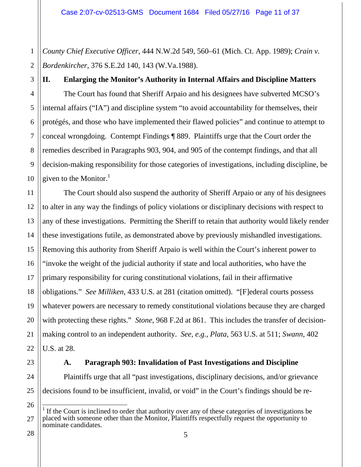1 2 *County Chief Executive Officer*, 444 N.W.2d 549, 560–61 (Mich. Ct. App. 1989); *Crain v. Bordenkircher*, 376 S.E.2d 140, 143 (W.Va.1988).

**II. Enlarging the Monitor's Authority in Internal Affairs and Discipline Matters**  The Court has found that Sheriff Arpaio and his designees have subverted MCSO's internal affairs ("IA") and discipline system "to avoid accountability for themselves, their protégés, and those who have implemented their flawed policies" and continue to attempt to conceal wrongdoing. Contempt Findings ¶ 889. Plaintiffs urge that the Court order the remedies described in Paragraphs 903, 904, and 905 of the contempt findings, and that all decision-making responsibility for those categories of investigations, including discipline, be given to the Monitor. $<sup>1</sup>$ </sup>

16 17 18 19 20 21 22 The Court should also suspend the authority of Sheriff Arpaio or any of his designees to alter in any way the findings of policy violations or disciplinary decisions with respect to any of these investigations. Permitting the Sheriff to retain that authority would likely render these investigations futile, as demonstrated above by previously mishandled investigations. Removing this authority from Sheriff Arpaio is well within the Court's inherent power to "invoke the weight of the judicial authority if state and local authorities, who have the primary responsibility for curing constitutional violations, fail in their affirmative obligations." *See Milliken*, 433 U.S. at 281 (citation omitted). "[F]ederal courts possess whatever powers are necessary to remedy constitutional violations because they are charged with protecting these rights." *Stone*, 968 F.2d at 861. This includes the transfer of decisionmaking control to an independent authority. *See, e.g.*, *Plata*, 563 U.S. at 511; *Swann*, 402 U.S. at 28.

#### **A. Paragraph 903: Invalidation of Past Investigations and Discipline**

Plaintiffs urge that all "past investigations, disciplinary decisions, and/or grievance decisions found to be insufficient, invalid, or void" in the Court's findings should be re-

28

23

24

<sup>26</sup> 27  $\overline{1}$  $<sup>1</sup>$  If the Court is inclined to order that authority over any of these categories of investigations be</sup> placed with someone other than the Monitor, Plaintiffs respectfully request the opportunity to nominate candidates.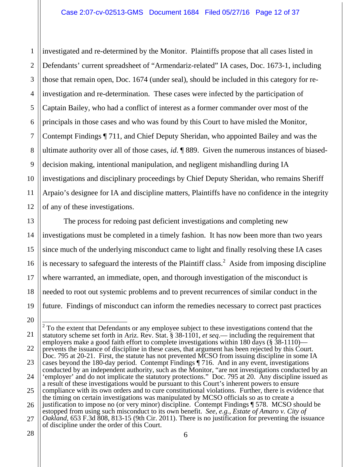1 2 3 4 5 6 7 8 9 10 11 12 investigated and re-determined by the Monitor. Plaintiffs propose that all cases listed in Defendants' current spreadsheet of "Armendariz-related" IA cases, Doc. 1673-1, including those that remain open, Doc. 1674 (under seal), should be included in this category for reinvestigation and re-determination. These cases were infected by the participation of Captain Bailey, who had a conflict of interest as a former commander over most of the principals in those cases and who was found by this Court to have misled the Monitor, Contempt Findings ¶ 711, and Chief Deputy Sheridan, who appointed Bailey and was the ultimate authority over all of those cases, *id*. ¶ 889. Given the numerous instances of biaseddecision making, intentional manipulation, and negligent mishandling during IA investigations and disciplinary proceedings by Chief Deputy Sheridan, who remains Sheriff Arpaio's designee for IA and discipline matters, Plaintiffs have no confidence in the integrity of any of these investigations.

13 14 The process for redoing past deficient investigations and completing new investigations must be completed in a timely fashion. It has now been more than two years since much of the underlying misconduct came to light and finally resolving these IA cases is necessary to safeguard the interests of the Plaintiff class.<sup>2</sup> Aside from imposing discipline where warranted, an immediate, open, and thorough investigation of the misconduct is needed to root out systemic problems and to prevent recurrences of similar conduct in the future. Findings of misconduct can inform the remedies necessary to correct past practices

15

<sup>17</sup> 18 19 20 21 22 23

<sup>24</sup> <sup>2</sup> To the extent that Defendants or any employee subject to these investigations contend that the statutory scheme set forth in Ariz. Rev. Stat. § 38-1101, *et seq*.— including the requirement that employers make a good faith effort to complete investigations within 180 days ( $\S$  38-1110) prevents the issuance of discipline in these cases, that argument has been rejected by this Court. Doc. 795 at 20-21. First, the statute has not prevented MCSO from issuing discipline in some IA cases beyond the 180-day period. Contempt Findings ¶ 716. And in any event, investigations conducted by an independent authority, such as the Monitor, "are not investigations conducted by an 'employer' and do not implicate the statutory protections." Doc. 795 at 20. Any discipline issued as

<sup>25</sup> a result of these investigations would be pursuant to this Court's inherent powers to ensure compliance with its own orders and to cure constitutional violations. Further, there is evidence that the timing on certain investigations was manipulated by MCSO officials so as to create a

<sup>26</sup> 27 justification to impose no (or very minor) discipline. Contempt Findings ¶ 578. MCSO should be estopped from using such misconduct to its own benefit. *See*, *e.g.*, *Estate of Amaro v. City of Oakland*, 653 F.3d 808, 813-15 (9th Cir. 2011). There is no justification for preventing the issuance

of discipline under the order of this Court.

<sup>28</sup>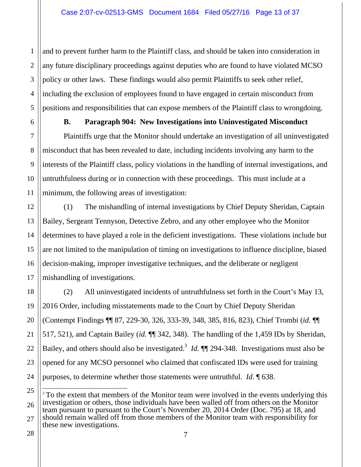and to prevent further harm to the Plaintiff class, and should be taken into consideration in any future disciplinary proceedings against deputies who are found to have violated MCSO policy or other laws. These findings would also permit Plaintiffs to seek other relief, including the exclusion of employees found to have engaged in certain misconduct from positions and responsibilities that can expose members of the Plaintiff class to wrongdoing.

1

2

3

4

5

6

7

8

9

10

11

13

14

15

16

17

#### **B. Paragraph 904: New Investigations into Uninvestigated Misconduct**

Plaintiffs urge that the Monitor should undertake an investigation of all uninvestigated misconduct that has been revealed to date, including incidents involving any harm to the interests of the Plaintiff class, policy violations in the handling of internal investigations, and untruthfulness during or in connection with these proceedings. This must include at a minimum, the following areas of investigation:

12 (1) The mishandling of internal investigations by Chief Deputy Sheridan, Captain Bailey, Sergeant Tennyson, Detective Zebro, and any other employee who the Monitor determines to have played a role in the deficient investigations. These violations include but are not limited to the manipulation of timing on investigations to influence discipline, biased decision-making, improper investigative techniques, and the deliberate or negligent mishandling of investigations.

18 19 20 21 22 23 24 (2) All uninvestigated incidents of untruthfulness set forth in the Court's May 13, 2016 Order, including misstatements made to the Court by Chief Deputy Sheridan (Contempt Findings ¶¶ 87, 229-30, 326, 333-39, 348, 385, 816, 823), Chief Trombi (*id.* ¶¶ 517, 521), and Captain Bailey (*id.* ¶¶ 342, 348). The handling of the 1,459 IDs by Sheridan, Bailey, and others should also be investigated.<sup>3</sup> *Id.*  $\P$  294-348. Investigations must also be opened for any MCSO personnel who claimed that confiscated IDs were used for training purposes, to determine whether those statements were untruthful. *Id.* ¶ 638.

25 26 27  $\overline{a}$ <sup>3</sup> To the extent that members of the Monitor team were involved in the events underlying this investigation or others, those individuals have been walled off from others on the Monitor team pursuant to pursuant to the Court's November 20, 2014 Order (Doc. 795) at 18, and should remain walled off from those members of the Monitor team with responsibility for these new investigations.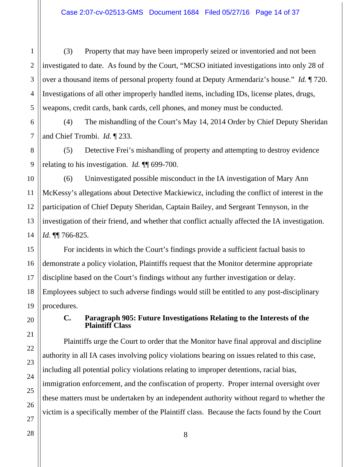(3) Property that may have been improperly seized or inventoried and not been investigated to date. As found by the Court, "MCSO initiated investigations into only 28 of over a thousand items of personal property found at Deputy Armendariz's house." *Id.* ¶ 720. Investigations of all other improperly handled items, including IDs, license plates, drugs, weapons, credit cards, bank cards, cell phones, and money must be conducted.

(4) The mishandling of the Court's May 14, 2014 Order by Chief Deputy Sheridan and Chief Trombi. *Id.* ¶ 233.

(5) Detective Frei's mishandling of property and attempting to destroy evidence relating to his investigation. *Id.* ¶¶ 699-700.

(6) Uninvestigated possible misconduct in the IA investigation of Mary Ann McKessy's allegations about Detective Mackiewicz, including the conflict of interest in the participation of Chief Deputy Sheridan, Captain Bailey, and Sergeant Tennyson, in the investigation of their friend, and whether that conflict actually affected the IA investigation. *Id*. ¶¶ 766-825.

For incidents in which the Court's findings provide a sufficient factual basis to demonstrate a policy violation, Plaintiffs request that the Monitor determine appropriate discipline based on the Court's findings without any further investigation or delay. Employees subject to such adverse findings would still be entitled to any post-disciplinary procedures.

#### **C. Paragraph 905: Future Investigations Relating to the Interests of the Plaintiff Class**

Plaintiffs urge the Court to order that the Monitor have final approval and discipline authority in all IA cases involving policy violations bearing on issues related to this case, including all potential policy violations relating to improper detentions, racial bias, immigration enforcement, and the confiscation of property. Proper internal oversight over these matters must be undertaken by an independent authority without regard to whether the victim is a specifically member of the Plaintiff class. Because the facts found by the Court

1

2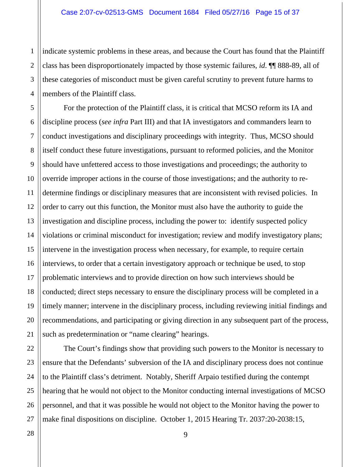indicate systemic problems in these areas, and because the Court has found that the Plaintiff class has been disproportionately impacted by those systemic failures, *id*. ¶¶ 888-89, all of these categories of misconduct must be given careful scrutiny to prevent future harms to members of the Plaintiff class.

For the protection of the Plaintiff class, it is critical that MCSO reform its IA and discipline process (*see infra* Part III) and that IA investigators and commanders learn to conduct investigations and disciplinary proceedings with integrity. Thus, MCSO should itself conduct these future investigations, pursuant to reformed policies, and the Monitor should have unfettered access to those investigations and proceedings; the authority to override improper actions in the course of those investigations; and the authority to redetermine findings or disciplinary measures that are inconsistent with revised policies. In order to carry out this function, the Monitor must also have the authority to guide the investigation and discipline process, including the power to: identify suspected policy violations or criminal misconduct for investigation; review and modify investigatory plans; intervene in the investigation process when necessary, for example, to require certain interviews, to order that a certain investigatory approach or technique be used, to stop problematic interviews and to provide direction on how such interviews should be conducted; direct steps necessary to ensure the disciplinary process will be completed in a timely manner; intervene in the disciplinary process, including reviewing initial findings and recommendations, and participating or giving direction in any subsequent part of the process, such as predetermination or "name clearing" hearings.

The Court's findings show that providing such powers to the Monitor is necessary to ensure that the Defendants' subversion of the IA and disciplinary process does not continue to the Plaintiff class's detriment. Notably, Sheriff Arpaio testified during the contempt hearing that he would not object to the Monitor conducting internal investigations of MCSO personnel, and that it was possible he would not object to the Monitor having the power to make final dispositions on discipline. October 1, 2015 Hearing Tr. 2037:20-2038:15,

1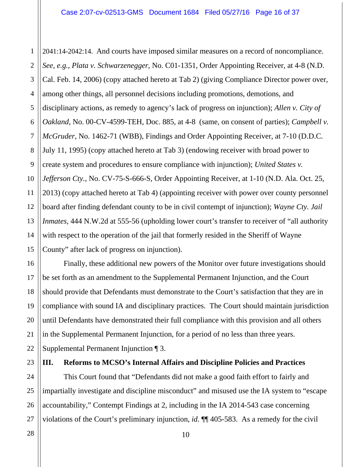2 3 4 5 6 7 8 9 10 12 13 14 15 2041:14-2042:14. And courts have imposed similar measures on a record of noncompliance. *See, e.g., Plata v. Schwarzenegger*, No. C01-1351, Order Appointing Receiver, at 4-8 (N.D. Cal. Feb. 14, 2006) (copy attached hereto at Tab 2) (giving Compliance Director power over, among other things, all personnel decisions including promotions, demotions, and disciplinary actions, as remedy to agency's lack of progress on injunction); *Allen v. City of Oakland*, No. 00-CV-4599-TEH, Doc. 885, at 4-8 (same, on consent of parties); *Campbell v. McGruder*, No. 1462-71 (WBB), Findings and Order Appointing Receiver, at 7-10 (D.D.C. July 11, 1995) (copy attached hereto at Tab 3) (endowing receiver with broad power to create system and procedures to ensure compliance with injunction); *United States v. Jefferson Cty.*, No. CV-75-S-666-S, Order Appointing Receiver, at 1-10 (N.D. Ala. Oct. 25, 2013) (copy attached hereto at Tab 4) (appointing receiver with power over county personnel board after finding defendant county to be in civil contempt of injunction); *Wayne Cty. Jail Inmates*, 444 N.W.2d at 555-56 (upholding lower court's transfer to receiver of "all authority with respect to the operation of the jail that formerly resided in the Sheriff of Wayne County" after lack of progress on injunction).

Finally, these additional new powers of the Monitor over future investigations should be set forth as an amendment to the Supplemental Permanent Injunction, and the Court should provide that Defendants must demonstrate to the Court's satisfaction that they are in compliance with sound IA and disciplinary practices. The Court should maintain jurisdiction until Defendants have demonstrated their full compliance with this provision and all others in the Supplemental Permanent Injunction, for a period of no less than three years. Supplemental Permanent Injunction ¶ 3.

**III. Reforms to MCSO's Internal Affairs and Discipline Policies and Practices** 

This Court found that "Defendants did not make a good faith effort to fairly and impartially investigate and discipline misconduct" and misused use the IA system to "escape accountability," Contempt Findings at 2, including in the IA 2014-543 case concerning violations of the Court's preliminary injunction, *id*. ¶¶ 405-583. As a remedy for the civil

1

11

16

17

18

19

20

21

22

23

24

25

26

27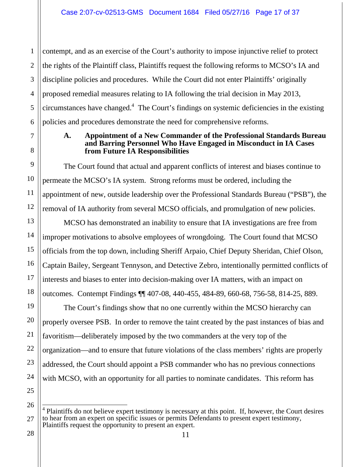1 2 3 4 5 6 contempt, and as an exercise of the Court's authority to impose injunctive relief to protect the rights of the Plaintiff class, Plaintiffs request the following reforms to MCSO's IA and discipline policies and procedures. While the Court did not enter Plaintiffs' originally proposed remedial measures relating to IA following the trial decision in May 2013, circumstances have changed.<sup>4</sup> The Court's findings on systemic deficiencies in the existing policies and procedures demonstrate the need for comprehensive reforms.

#### **A. Appointment of a New Commander of the Professional Standards Bureau and Barring Personnel Who Have Engaged in Misconduct in IA Cases from Future IA Responsibilities**

The Court found that actual and apparent conflicts of interest and biases continue to permeate the MCSO's IA system. Strong reforms must be ordered, including the appointment of new, outside leadership over the Professional Standards Bureau ("PSB"), the removal of IA authority from several MCSO officials, and promulgation of new policies.

MCSO has demonstrated an inability to ensure that IA investigations are free from improper motivations to absolve employees of wrongdoing. The Court found that MCSO officials from the top down, including Sheriff Arpaio, Chief Deputy Sheridan, Chief Olson, Captain Bailey, Sergeant Tennyson, and Detective Zebro, intentionally permitted conflicts of interests and biases to enter into decision-making over IA matters, with an impact on outcomes. Contempt Findings ¶¶ 407-08, 440-455, 484-89, 660-68, 756-58, 814-25, 889.

The Court's findings show that no one currently within the MCSO hierarchy can properly oversee PSB. In order to remove the taint created by the past instances of bias and favoritism—deliberately imposed by the two commanders at the very top of the organization—and to ensure that future violations of the class members' rights are properly addressed, the Court should appoint a PSB commander who has no previous connections with MCSO, with an opportunity for all parties to nominate candidates. This reform has

26

7

8

9

10

11

12

13

14

15

16

17

18

19

20

21

22

23

 $\overline{a}$ 4 Plaintiffs do not believe expert testimony is necessary at this point. If, however, the Court desires to hear from an expert on specific issues or permits Defendants to present expert testimony, Plaintiffs request the opportunity to present an expert.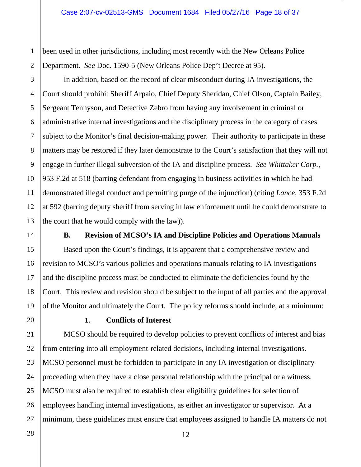been used in other jurisdictions, including most recently with the New Orleans Police Department. *See* Doc. 1590-5 (New Orleans Police Dep't Decree at 95).

3 4 5 6 7 8 10 12 13 In addition, based on the record of clear misconduct during IA investigations, the Court should prohibit Sheriff Arpaio, Chief Deputy Sheridan, Chief Olson, Captain Bailey, Sergeant Tennyson, and Detective Zebro from having any involvement in criminal or administrative internal investigations and the disciplinary process in the category of cases subject to the Monitor's final decision-making power. Their authority to participate in these matters may be restored if they later demonstrate to the Court's satisfaction that they will not engage in further illegal subversion of the IA and discipline process. *See Whittaker Corp.*, 953 F.2d at 518 (barring defendant from engaging in business activities in which he had demonstrated illegal conduct and permitting purge of the injunction) (citing *Lance*, 353 F.2d at 592 (barring deputy sheriff from serving in law enforcement until he could demonstrate to the court that he would comply with the law)).

1

2

9

11

14

15

16

17

18

19

21

22

23

24

25

26

#### **B. Revision of MCSO's IA and Discipline Policies and Operations Manuals**

Based upon the Court's findings, it is apparent that a comprehensive review and revision to MCSO's various policies and operations manuals relating to IA investigations and the discipline process must be conducted to eliminate the deficiencies found by the Court. This review and revision should be subject to the input of all parties and the approval of the Monitor and ultimately the Court. The policy reforms should include, at a minimum:

20

#### **1. Conflicts of Interest**

MCSO should be required to develop policies to prevent conflicts of interest and bias from entering into all employment-related decisions, including internal investigations. MCSO personnel must be forbidden to participate in any IA investigation or disciplinary proceeding when they have a close personal relationship with the principal or a witness. MCSO must also be required to establish clear eligibility guidelines for selection of employees handling internal investigations, as either an investigator or supervisor. At a minimum, these guidelines must ensure that employees assigned to handle IA matters do not

12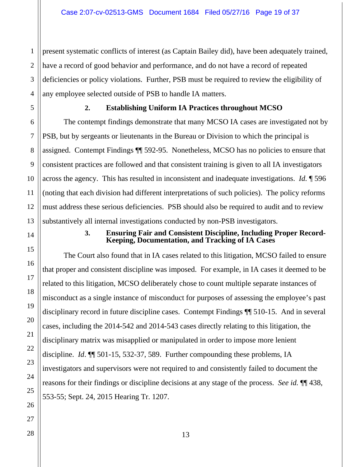present systematic conflicts of interest (as Captain Bailey did), have been adequately trained, have a record of good behavior and performance, and do not have a record of repeated deficiencies or policy violations. Further, PSB must be required to review the eligibility of any employee selected outside of PSB to handle IA matters.

1

#### **2. Establishing Uniform IA Practices throughout MCSO**

The contempt findings demonstrate that many MCSO IA cases are investigated not by PSB, but by sergeants or lieutenants in the Bureau or Division to which the principal is assigned. Contempt Findings ¶¶ 592-95. Nonetheless, MCSO has no policies to ensure that consistent practices are followed and that consistent training is given to all IA investigators across the agency. This has resulted in inconsistent and inadequate investigations. *Id.* ¶ 596 (noting that each division had different interpretations of such policies). The policy reforms must address these serious deficiencies. PSB should also be required to audit and to review substantively all internal investigations conducted by non-PSB investigators.

#### **3. Ensuring Fair and Consistent Discipline, Including Proper Record-Keeping, Documentation, and Tracking of IA Cases**

The Court also found that in IA cases related to this litigation, MCSO failed to ensure that proper and consistent discipline was imposed. For example, in IA cases it deemed to be related to this litigation, MCSO deliberately chose to count multiple separate instances of misconduct as a single instance of misconduct for purposes of assessing the employee's past disciplinary record in future discipline cases. Contempt Findings ¶¶ 510-15. And in several cases, including the 2014-542 and 2014-543 cases directly relating to this litigation, the disciplinary matrix was misapplied or manipulated in order to impose more lenient discipline. *Id*. ¶¶ 501-15, 532-37, 589. Further compounding these problems, IA investigators and supervisors were not required to and consistently failed to document the reasons for their findings or discipline decisions at any stage of the process. *See id.* ¶¶ 438, 553-55; Sept. 24, 2015 Hearing Tr. 1207.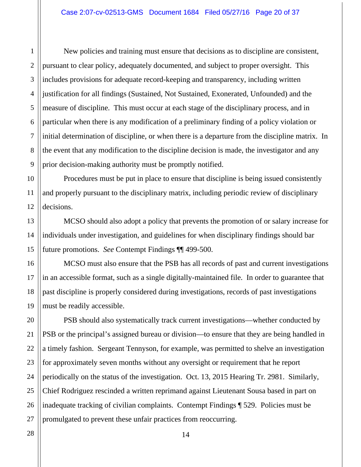New policies and training must ensure that decisions as to discipline are consistent, pursuant to clear policy, adequately documented, and subject to proper oversight. This includes provisions for adequate record-keeping and transparency, including written justification for all findings (Sustained, Not Sustained, Exonerated, Unfounded) and the measure of discipline. This must occur at each stage of the disciplinary process, and in particular when there is any modification of a preliminary finding of a policy violation or initial determination of discipline, or when there is a departure from the discipline matrix. In the event that any modification to the discipline decision is made, the investigator and any prior decision-making authority must be promptly notified.

Procedures must be put in place to ensure that discipline is being issued consistently and properly pursuant to the disciplinary matrix, including periodic review of disciplinary decisions.

MCSO should also adopt a policy that prevents the promotion of or salary increase for individuals under investigation, and guidelines for when disciplinary findings should bar future promotions. *See* Contempt Findings ¶¶ 499-500.

MCSO must also ensure that the PSB has all records of past and current investigations in an accessible format, such as a single digitally-maintained file. In order to guarantee that past discipline is properly considered during investigations, records of past investigations must be readily accessible.

PSB should also systematically track current investigations—whether conducted by PSB or the principal's assigned bureau or division—to ensure that they are being handled in a timely fashion. Sergeant Tennyson, for example, was permitted to shelve an investigation for approximately seven months without any oversight or requirement that he report periodically on the status of the investigation. Oct. 13, 2015 Hearing Tr. 2981. Similarly, Chief Rodriguez rescinded a written reprimand against Lieutenant Sousa based in part on inadequate tracking of civilian complaints. Contempt Findings ¶ 529. Policies must be promulgated to prevent these unfair practices from reoccurring.

1

2

3

4

5

6

7

8

9

10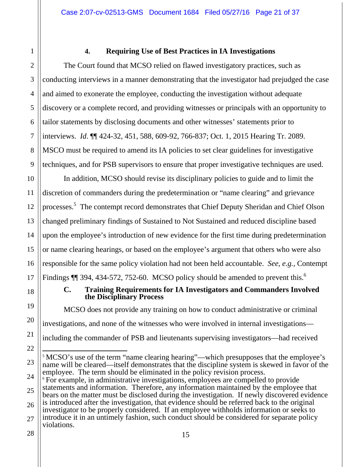1

#### **4. Requiring Use of Best Practices in IA Investigations**

The Court found that MCSO relied on flawed investigatory practices, such as conducting interviews in a manner demonstrating that the investigator had prejudged the case and aimed to exonerate the employee, conducting the investigation without adequate discovery or a complete record, and providing witnesses or principals with an opportunity to tailor statements by disclosing documents and other witnesses' statements prior to interviews. *Id*. ¶¶ 424-32, 451, 588, 609-92, 766-837; Oct. 1, 2015 Hearing Tr. 2089. MSCO must be required to amend its IA policies to set clear guidelines for investigative techniques, and for PSB supervisors to ensure that proper investigative techniques are used.

In addition, MCSO should revise its disciplinary policies to guide and to limit the discretion of commanders during the predetermination or "name clearing" and grievance processes.<sup>5</sup> The contempt record demonstrates that Chief Deputy Sheridan and Chief Olson changed preliminary findings of Sustained to Not Sustained and reduced discipline based upon the employee's introduction of new evidence for the first time during predetermination or name clearing hearings, or based on the employee's argument that others who were also responsible for the same policy violation had not been held accountable. *See*, *e.g.*, Contempt Findings  $\P$  394, 434-572, 752-60. MCSO policy should be amended to prevent this.<sup>6</sup>

#### **C. Training Requirements for IA Investigators and Commanders Involved the Disciplinary Process**

MCSO does not provide any training on how to conduct administrative or criminal investigations, and none of the witnesses who were involved in internal investigations including the commander of PSB and lieutenants supervising investigators—had received  $\overline{a}$ 

<sup>&</sup>lt;sup>5</sup> MCSO's use of the term "name clearing hearing"—which presupposes that the employee's name will be cleared—itself demonstrates that the discipline system is skewed in favor of the employee. The term should be eliminated in the policy revision process.

<sup>&</sup>lt;sup>6</sup> For example, in administrative investigations, employees are compelled to provide statements and information. Therefore, any information maintained by the employee that bears on the matter must be disclosed during the investigation. If newly discovered evidence is introduced after the investigation, that evidence should be referred back to the original investigator to be properly considered. If an employee withholds information or seeks to introduce it in an untimely fashion, such conduct should be considered for separate policy violations.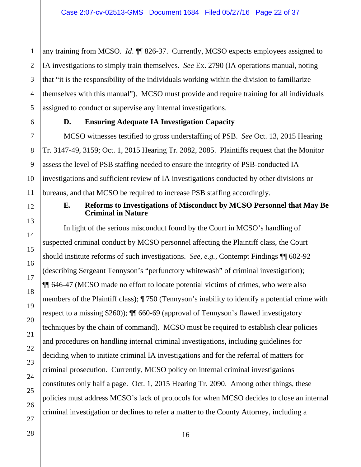1 any training from MCSO. *Id*. ¶¶ 826-37.Currently, MCSO expects employees assigned to IA investigations to simply train themselves. *See* Ex. 2790 (IA operations manual, noting that "it is the responsibility of the individuals working within the division to familiarize themselves with this manual"). MCSO must provide and require training for all individuals assigned to conduct or supervise any internal investigations.

#### **D. Ensuring Adequate IA Investigation Capacity**

MCSO witnesses testified to gross understaffing of PSB. *See* Oct. 13, 2015 Hearing Tr. 3147-49, 3159; Oct. 1, 2015 Hearing Tr. 2082, 2085. Plaintiffs request that the Monitor assess the level of PSB staffing needed to ensure the integrity of PSB-conducted IA investigations and sufficient review of IA investigations conducted by other divisions or bureaus, and that MCSO be required to increase PSB staffing accordingly.

#### **E. Reforms to Investigations of Misconduct by MCSO Personnel that May Be Criminal in Nature**

In light of the serious misconduct found by the Court in MCSO's handling of suspected criminal conduct by MCSO personnel affecting the Plaintiff class, the Court should institute reforms of such investigations. *See*, *e.g.*, Contempt Findings ¶¶ 602-92 (describing Sergeant Tennyson's "perfunctory whitewash" of criminal investigation); ¶¶ 646-47 (MCSO made no effort to locate potential victims of crimes, who were also members of the Plaintiff class); ¶ 750 (Tennyson's inability to identify a potential crime with respect to a missing \$260)); ¶¶ 660-69 (approval of Tennyson's flawed investigatory techniques by the chain of command). MCSO must be required to establish clear policies and procedures on handling internal criminal investigations, including guidelines for deciding when to initiate criminal IA investigations and for the referral of matters for criminal prosecution. Currently, MCSO policy on internal criminal investigations constitutes only half a page. Oct. 1, 2015 Hearing Tr. 2090. Among other things, these policies must address MCSO's lack of protocols for when MCSO decides to close an internal criminal investigation or declines to refer a matter to the County Attorney, including a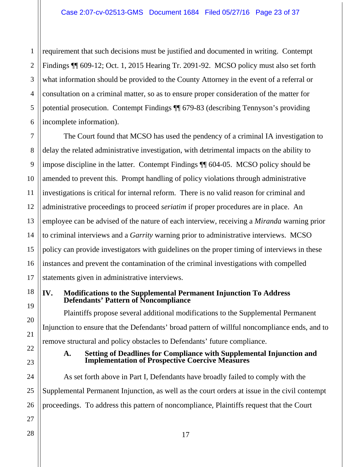1 2 3 4 5 6 requirement that such decisions must be justified and documented in writing. Contempt Findings ¶¶ 609-12; Oct. 1, 2015 Hearing Tr. 2091-92. MCSO policy must also set forth what information should be provided to the County Attorney in the event of a referral or consultation on a criminal matter, so as to ensure proper consideration of the matter for potential prosecution. Contempt Findings ¶¶ 679-83 (describing Tennyson's providing incomplete information).

7 8 9 10 11 12 13 14 15 16 17 The Court found that MCSO has used the pendency of a criminal IA investigation to delay the related administrative investigation, with detrimental impacts on the ability to impose discipline in the latter. Contempt Findings ¶¶ 604-05. MCSO policy should be amended to prevent this. Prompt handling of policy violations through administrative investigations is critical for internal reform. There is no valid reason for criminal and administrative proceedings to proceed *seriatim* if proper procedures are in place. An employee can be advised of the nature of each interview, receiving a *Miranda* warning prior to criminal interviews and a *Garrity* warning prior to administrative interviews. MCSO policy can provide investigators with guidelines on the proper timing of interviews in these instances and prevent the contamination of the criminal investigations with compelled statements given in administrative interviews.

#### **IV. Modifications to the Supplemental Permanent Injunction To Address Defendants' Pattern of Noncompliance**

Plaintiffs propose several additional modifications to the Supplemental Permanent Injunction to ensure that the Defendants' broad pattern of willful noncompliance ends, and to remove structural and policy obstacles to Defendants' future compliance.

#### **A. Setting of Deadlines for Compliance with Supplemental Injunction and Implementation of Prospective Coercive Measures**

As set forth above in Part I, Defendants have broadly failed to comply with the Supplemental Permanent Injunction, as well as the court orders at issue in the civil contempt proceedings. To address this pattern of noncompliance, Plaintiffs request that the Court

18

19

20

21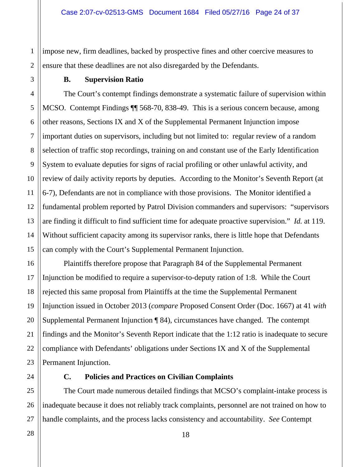2 impose new, firm deadlines, backed by prospective fines and other coercive measures to ensure that these deadlines are not also disregarded by the Defendants.

#### **B. Supervision Ratio**

1

3

4 5 6 7 8 9 10 11 12 13 14 15 The Court's contempt findings demonstrate a systematic failure of supervision within MCSO. Contempt Findings ¶¶ 568-70, 838-49. This is a serious concern because, among other reasons, Sections IX and X of the Supplemental Permanent Injunction impose important duties on supervisors, including but not limited to: regular review of a random selection of traffic stop recordings, training on and constant use of the Early Identification System to evaluate deputies for signs of racial profiling or other unlawful activity, and review of daily activity reports by deputies. According to the Monitor's Seventh Report (at 6-7), Defendants are not in compliance with those provisions. The Monitor identified a fundamental problem reported by Patrol Division commanders and supervisors: "supervisors are finding it difficult to find sufficient time for adequate proactive supervision." *Id.* at 119. Without sufficient capacity among its supervisor ranks, there is little hope that Defendants can comply with the Court's Supplemental Permanent Injunction.

16 Plaintiffs therefore propose that Paragraph 84 of the Supplemental Permanent Injunction be modified to require a supervisor-to-deputy ration of 1:8. While the Court rejected this same proposal from Plaintiffs at the time the Supplemental Permanent Injunction issued in October 2013 (*compare* Proposed Consent Order (Doc. 1667) at 41 *with*  Supplemental Permanent Injunction ¶ 84), circumstances have changed. The contempt findings and the Monitor's Seventh Report indicate that the 1:12 ratio is inadequate to secure compliance with Defendants' obligations under Sections IX and X of the Supplemental Permanent Injunction.

17

18

19

20

21

22

23

24

25

26

27

#### **C. Policies and Practices on Civilian Complaints**

The Court made numerous detailed findings that MCSO's complaint-intake process is inadequate because it does not reliably track complaints, personnel are not trained on how to handle complaints, and the process lacks consistency and accountability. *See* Contempt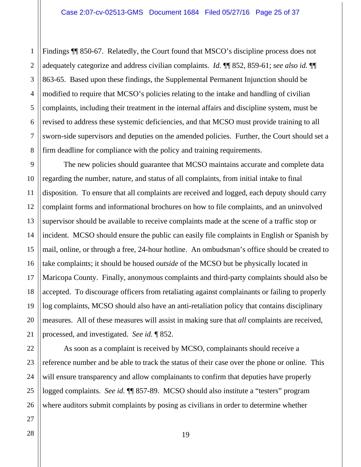Findings ¶¶ 850-67. Relatedly, the Court found that MSCO's discipline process does not adequately categorize and address civilian complaints. *Id.* ¶¶ 852, 859-61; *see also id.* ¶¶ 863-65. Based upon these findings, the Supplemental Permanent Injunction should be modified to require that MCSO's policies relating to the intake and handling of civilian complaints, including their treatment in the internal affairs and discipline system, must be revised to address these systemic deficiencies, and that MCSO must provide training to all sworn-side supervisors and deputies on the amended policies. Further, the Court should set a firm deadline for compliance with the policy and training requirements.

The new policies should guarantee that MCSO maintains accurate and complete data regarding the number, nature, and status of all complaints, from initial intake to final disposition. To ensure that all complaints are received and logged, each deputy should carry complaint forms and informational brochures on how to file complaints, and an uninvolved supervisor should be available to receive complaints made at the scene of a traffic stop or incident. MCSO should ensure the public can easily file complaints in English or Spanish by mail, online, or through a free, 24-hour hotline. An ombudsman's office should be created to take complaints; it should be housed *outside* of the MCSO but be physically located in Maricopa County. Finally, anonymous complaints and third-party complaints should also be accepted. To discourage officers from retaliating against complainants or failing to properly log complaints, MCSO should also have an anti-retaliation policy that contains disciplinary measures. All of these measures will assist in making sure that *all* complaints are received, processed, and investigated. *See id.* ¶ 852.

As soon as a complaint is received by MCSO, complainants should receive a reference number and be able to track the status of their case over the phone or online. This will ensure transparency and allow complainants to confirm that deputies have properly logged complaints. *See id.* ¶¶ 857-89. MCSO should also institute a "testers" program where auditors submit complaints by posing as civilians in order to determine whether

1

2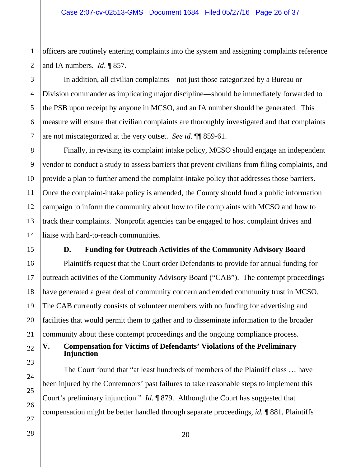officers are routinely entering complaints into the system and assigning complaints reference and IA numbers. *Id*. ¶ 857.

In addition, all civilian complaints—not just those categorized by a Bureau or Division commander as implicating major discipline—should be immediately forwarded to the PSB upon receipt by anyone in MCSO, and an IA number should be generated. This measure will ensure that civilian complaints are thoroughly investigated and that complaints are not miscategorized at the very outset. *See id.* ¶¶ 859-61.

Finally, in revising its complaint intake policy, MCSO should engage an independent vendor to conduct a study to assess barriers that prevent civilians from filing complaints, and provide a plan to further amend the complaint-intake policy that addresses those barriers. Once the complaint-intake policy is amended, the County should fund a public information campaign to inform the community about how to file complaints with MCSO and how to track their complaints. Nonprofit agencies can be engaged to host complaint drives and liaise with hard-to-reach communities.

**D. Funding for Outreach Activities of the Community Advisory Board** 

Plaintiffs request that the Court order Defendants to provide for annual funding for outreach activities of the Community Advisory Board ("CAB"). The contempt proceedings have generated a great deal of community concern and eroded community trust in MCSO. The CAB currently consists of volunteer members with no funding for advertising and facilities that would permit them to gather and to disseminate information to the broader community about these contempt proceedings and the ongoing compliance process.

**V. Compensation for Victims of Defendants' Violations of the Preliminary Injunction** 

The Court found that "at least hundreds of members of the Plaintiff class … have been injured by the Contemnors' past failures to take reasonable steps to implement this Court's preliminary injunction." *Id.* ¶ 879. Although the Court has suggested that compensation might be better handled through separate proceedings, *id.* ¶ 881, Plaintiffs

1

2

3

4

5

6

7

8

9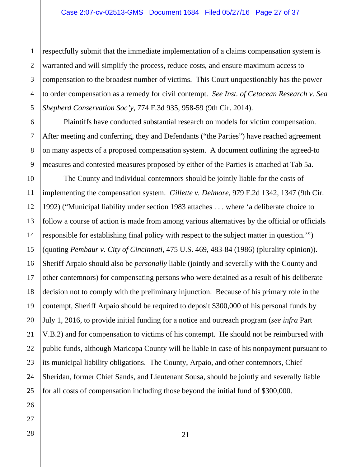1 2 respectfully submit that the immediate implementation of a claims compensation system is warranted and will simplify the process, reduce costs, and ensure maximum access to compensation to the broadest number of victims. This Court unquestionably has the power to order compensation as a remedy for civil contempt. *See Inst. of Cetacean Research v. Sea Shepherd Conservation Soc'y*, 774 F.3d 935, 958-59 (9th Cir. 2014).

Plaintiffs have conducted substantial research on models for victim compensation. After meeting and conferring, they and Defendants ("the Parties") have reached agreement on many aspects of a proposed compensation system. A document outlining the agreed-to measures and contested measures proposed by either of the Parties is attached at Tab 5a.

 The County and individual contemnors should be jointly liable for the costs of implementing the compensation system. *Gillette v. Delmore*, 979 F.2d 1342, 1347 (9th Cir. 1992) ("Municipal liability under section 1983 attaches . . . where 'a deliberate choice to follow a course of action is made from among various alternatives by the official or officials responsible for establishing final policy with respect to the subject matter in question.'") (quoting *Pembaur v. City of Cincinnati*, 475 U.S. 469, 483-84 (1986) (plurality opinion)). Sheriff Arpaio should also be *personally* liable (jointly and severally with the County and other contemnors) for compensating persons who were detained as a result of his deliberate decision not to comply with the preliminary injunction. Because of his primary role in the contempt, Sheriff Arpaio should be required to deposit \$300,000 of his personal funds by July 1, 2016, to provide initial funding for a notice and outreach program (*see infra* Part V.B.2) and for compensation to victims of his contempt. He should not be reimbursed with public funds, although Maricopa County will be liable in case of his nonpayment pursuant to its municipal liability obligations. The County, Arpaio, and other contemnors, Chief Sheridan, former Chief Sands, and Lieutenant Sousa, should be jointly and severally liable for all costs of compensation including those beyond the initial fund of \$300,000.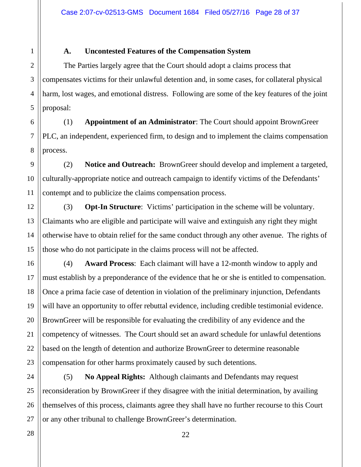#### **A. Uncontested Features of the Compensation System**

The Parties largely agree that the Court should adopt a claims process that compensates victims for their unlawful detention and, in some cases, for collateral physical harm, lost wages, and emotional distress. Following are some of the key features of the joint proposal:

(1) **Appointment of an Administrator**: The Court should appoint BrownGreer PLC, an independent, experienced firm, to design and to implement the claims compensation process.

9 10 (2) **Notice and Outreach:** BrownGreer should develop and implement a targeted, culturally-appropriate notice and outreach campaign to identify victims of the Defendants' contempt and to publicize the claims compensation process.

(3) **Opt-In Structure**: Victims' participation in the scheme will be voluntary. Claimants who are eligible and participate will waive and extinguish any right they might otherwise have to obtain relief for the same conduct through any other avenue. The rights of those who do not participate in the claims process will not be affected.

(4) **Award Process**: Each claimant will have a 12-month window to apply and must establish by a preponderance of the evidence that he or she is entitled to compensation. Once a prima facie case of detention in violation of the preliminary injunction, Defendants will have an opportunity to offer rebuttal evidence, including credible testimonial evidence. BrownGreer will be responsible for evaluating the credibility of any evidence and the competency of witnesses. The Court should set an award schedule for unlawful detentions based on the length of detention and authorize BrownGreer to determine reasonable compensation for other harms proximately caused by such detentions.

24 25 26 27 (5) **No Appeal Rights:** Although claimants and Defendants may request reconsideration by BrownGreer if they disagree with the initial determination, by availing themselves of this process, claimants agree they shall have no further recourse to this Court or any other tribunal to challenge BrownGreer's determination.

28

1

2

3

4

5

6

7

8

11

12

13

14

15

16

17

18

19

20

21

22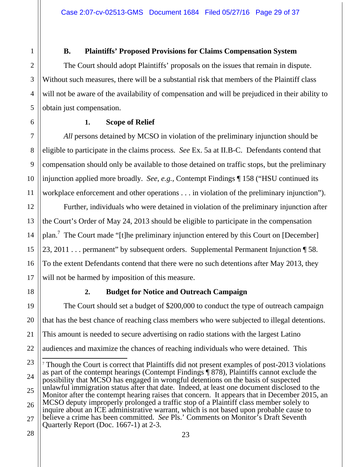#### **B. Plaintiffs' Proposed Provisions for Claims Compensation System**

The Court should adopt Plaintiffs' proposals on the issues that remain in dispute. Without such measures, there will be a substantial risk that members of the Plaintiff class will not be aware of the availability of compensation and will be prejudiced in their ability to obtain just compensation.

#### **1. Scope of Relief**

*All* persons detained by MCSO in violation of the preliminary injunction should be eligible to participate in the claims process. *See* Ex. 5a at II.B-C. Defendants contend that compensation should only be available to those detained on traffic stops, but the preliminary injunction applied more broadly. *See*, *e.g.*, Contempt Findings ¶ 158 ("HSU continued its workplace enforcement and other operations . . . in violation of the preliminary injunction").

Further, individuals who were detained in violation of the preliminary injunction after the Court's Order of May 24, 2013 should be eligible to participate in the compensation plan.<sup>7</sup> The Court made "[t]he preliminary injunction entered by this Court on [December] 23, 2011 . . . permanent" by subsequent orders. Supplemental Permanent Injunction ¶ 58. To the extent Defendants contend that there were no such detentions after May 2013, they will not be harmed by imposition of this measure.

1

2

3

4

5

6

7

8

9

10

11

12

13

14

15

16

17

18

21

#### **2. Budget for Notice and Outreach Campaign**

19 20 22 The Court should set a budget of \$200,000 to conduct the type of outreach campaign that has the best chance of reaching class members who were subjected to illegal detentions. This amount is needed to secure advertising on radio stations with the largest Latino audiences and maximize the chances of reaching individuals who were detained. This  $\overline{a}$ 

Quarterly Report (Doc. 1667-1) at 2-3.

<sup>23</sup> 24 25 26 27 <sup>7</sup> Though the Court is correct that Plaintiffs did not present examples of post-2013 violations as part of the contempt hearings (Contempt Findings ¶ 878), Plaintiffs cannot exclude the possibility that MCSO has engaged in wrongful detentions on the basis of suspected unlawful immigration status after that date. Indeed, at least one document disclosed to the Monitor after the contempt hearing raises that concern. It appears that in December 2015, an MCSO deputy improperly prolonged a traffic stop of a Plaintiff class member solely to inquire about an ICE administrative warrant, which is not based upon probable cause to believe a crime has been committed. *See* Pls.' Comments on Monitor's Draft Seventh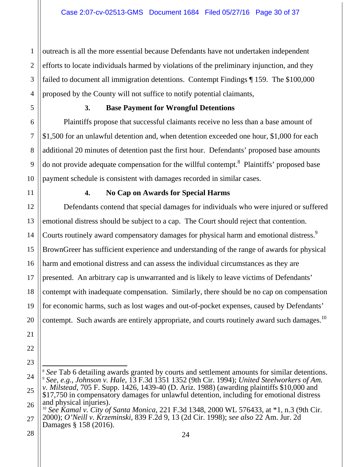2 3 4 outreach is all the more essential because Defendants have not undertaken independent efforts to locate individuals harmed by violations of the preliminary injunction, and they failed to document all immigration detentions. Contempt Findings ¶ 159. The \$100,000 proposed by the County will not suffice to notify potential claimants,

1

5

6

7

8

9

10

11

17

21

22

23

#### **3. Base Payment for Wrongful Detentions**

Plaintiffs propose that successful claimants receive no less than a base amount of \$1,500 for an unlawful detention and, when detention exceeded one hour, \$1,000 for each additional 20 minutes of detention past the first hour. Defendants' proposed base amounts do not provide adequate compensation for the willful contempt.<sup>8</sup> Plaintiffs' proposed base payment schedule is consistent with damages recorded in similar cases.

#### **4. No Cap on Awards for Special Harms**

12 13 14 15 16 18 19 20 Defendants contend that special damages for individuals who were injured or suffered emotional distress should be subject to a cap. The Court should reject that contention. Courts routinely award compensatory damages for physical harm and emotional distress.<sup>9</sup> BrownGreer has sufficient experience and understanding of the range of awards for physical harm and emotional distress and can assess the individual circumstances as they are presented. An arbitrary cap is unwarranted and is likely to leave victims of Defendants' contempt with inadequate compensation. Similarly, there should be no cap on compensation for economic harms, such as lost wages and out-of-pocket expenses, caused by Defendants' contempt. Such awards are entirely appropriate, and courts routinely award such damages.<sup>10</sup>

<sup>24</sup> 25 26  $\overline{a}$ <sup>8</sup> See Tab 6 detailing awards granted by courts and settlement amounts for similar detentions. <sup>9</sup> *See*, *e.g.*, *Johnson v. Hale*, 13 F.3d 1351 1352 (9th Cir. 1994); *United Steelworkers of Am. v. Milstead*, 705 F. Supp. 1426, 1439-40 (D. Ariz. 1988) (awarding plaintiffs \$10,000 and \$17,750 in compensatory damages for unlawful detention, including for emotional distress and physical injuries). <sup>10</sup> *See Kamal v. City of Santa Monica*, 221 F.3d 1348, 2000 WL 576433, at \*1, n.3 (9th Cir.

<sup>27</sup> 2000); *O'Neill v. Krzeminski*, 839 F.2d 9, 13 (2d Cir. 1998); *see also* 22 Am. Jur. 2d Damages § 158 (2016).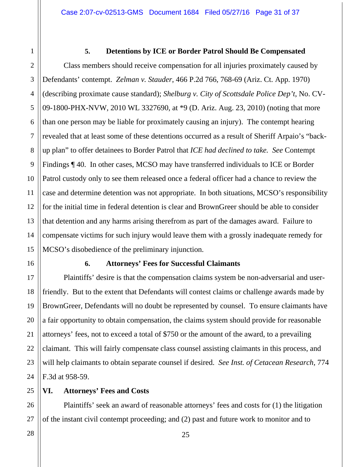#### **5. Detentions by ICE or Border Patrol Should Be Compensated**

Class members should receive compensation for all injuries proximately caused by Defendants' contempt. *Zelman v. Stauder*, 466 P.2d 766, 768-69 (Ariz. Ct. App. 1970) (describing proximate cause standard); *Shelburg v. City of Scottsdale Police Dep't*, No. CV-09-1800-PHX-NVW, 2010 WL 3327690, at \*9 (D. Ariz. Aug. 23, 2010) (noting that more than one person may be liable for proximately causing an injury). The contempt hearing revealed that at least some of these detentions occurred as a result of Sheriff Arpaio's "backup plan" to offer detainees to Border Patrol that *ICE had declined to take. See* Contempt Findings ¶ 40. In other cases, MCSO may have transferred individuals to ICE or Border Patrol custody only to see them released once a federal officer had a chance to review the case and determine detention was not appropriate. In both situations, MCSO's responsibility for the initial time in federal detention is clear and BrownGreer should be able to consider that detention and any harms arising therefrom as part of the damages award. Failure to compensate victims for such injury would leave them with a grossly inadequate remedy for MCSO's disobedience of the preliminary injunction.

#### **6. Attorneys' Fees for Successful Claimants**

Plaintiffs' desire is that the compensation claims system be non-adversarial and userfriendly. But to the extent that Defendants will contest claims or challenge awards made by BrownGreer, Defendants will no doubt be represented by counsel. To ensure claimants have a fair opportunity to obtain compensation, the claims system should provide for reasonable attorneys' fees, not to exceed a total of \$750 or the amount of the award, to a prevailing claimant. This will fairly compensate class counsel assisting claimants in this process, and will help claimants to obtain separate counsel if desired. *See Inst. of Cetacean Research*, 774 F.3d at 958-59.

#### **VI. Attorneys' Fees and Costs**

Plaintiffs' seek an award of reasonable attorneys' fees and costs for (1) the litigation of the instant civil contempt proceeding; and (2) past and future work to monitor and to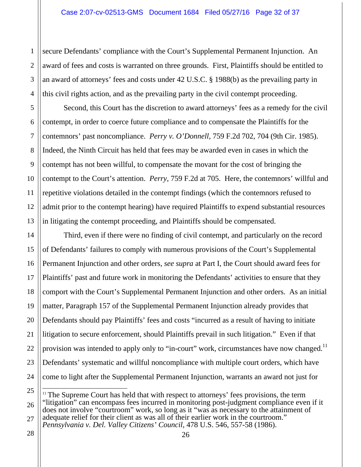secure Defendants' compliance with the Court's Supplemental Permanent Injunction. An award of fees and costs is warranted on three grounds. First, Plaintiffs should be entitled to an award of attorneys' fees and costs under 42 U.S.C. § 1988(b) as the prevailing party in this civil rights action, and as the prevailing party in the civil contempt proceeding.

Second, this Court has the discretion to award attorneys' fees as a remedy for the civil contempt, in order to coerce future compliance and to compensate the Plaintiffs for the contemnors' past noncompliance. *Perry v. O'Donnell*, 759 F.2d 702, 704 (9th Cir. 1985). Indeed, the Ninth Circuit has held that fees may be awarded even in cases in which the contempt has not been willful, to compensate the movant for the cost of bringing the contempt to the Court's attention. *Perry*, 759 F.2d at 705. Here, the contemnors' willful and repetitive violations detailed in the contempt findings (which the contemnors refused to admit prior to the contempt hearing) have required Plaintiffs to expend substantial resources in litigating the contempt proceeding, and Plaintiffs should be compensated.

Third, even if there were no finding of civil contempt, and particularly on the record of Defendants' failures to comply with numerous provisions of the Court's Supplemental Permanent Injunction and other orders, *see supra* at Part I, the Court should award fees for Plaintiffs' past and future work in monitoring the Defendants' activities to ensure that they comport with the Court's Supplemental Permanent Injunction and other orders. As an initial matter, Paragraph 157 of the Supplemental Permanent Injunction already provides that Defendants should pay Plaintiffs' fees and costs "incurred as a result of having to initiate litigation to secure enforcement, should Plaintiffs prevail in such litigation." Even if that provision was intended to apply only to "in-court" work, circumstances have now changed.<sup>11</sup> Defendants' systematic and willful noncompliance with multiple court orders, which have come to light after the Supplemental Permanent Injunction, warrants an award not just for

1

2

 $\overline{a}$  $11$  The Supreme Court has held that with respect to attorneys' fees provisions, the term "litigation" can encompass fees incurred in monitoring post-judgment compliance even if it does not involve "courtroom" work, so long as it "was as necessary to the attainment of adequate relief for their client as was all of their earlier work in the courtroom." *Pennsylvania v. Del. Valley Citizens' Council*, 478 U.S. 546, 557-58 (1986).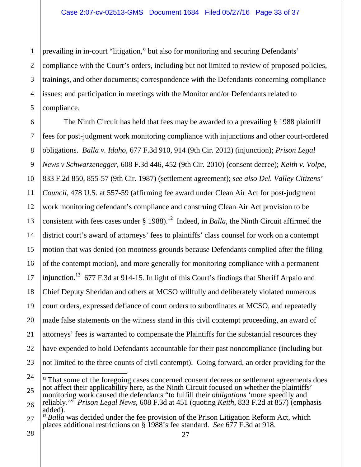1 2 3 4 5 prevailing in in-court "litigation," but also for monitoring and securing Defendants' compliance with the Court's orders, including but not limited to review of proposed policies, trainings, and other documents; correspondence with the Defendants concerning compliance issues; and participation in meetings with the Monitor and/or Defendants related to compliance.

6 7 8 9 10 11 12 13 14 15 16 17 18 19 20 21 22 23 The Ninth Circuit has held that fees may be awarded to a prevailing § 1988 plaintiff fees for post-judgment work monitoring compliance with injunctions and other court-ordered obligations. *Balla v. Idaho*, 677 F.3d 910, 914 (9th Cir. 2012) (injunction); *Prison Legal News v Schwarzenegger*, 608 F.3d 446, 452 (9th Cir. 2010) (consent decree); *Keith v. Volpe*, 833 F.2d 850, 855-57 (9th Cir. 1987) (settlement agreement); *see also Del. Valley Citizens' Council*, 478 U.S. at 557-59 (affirming fee award under Clean Air Act for post-judgment work monitoring defendant's compliance and construing Clean Air Act provision to be consistent with fees cases under  $\S$  1988).<sup>12</sup> Indeed, in *Balla*, the Ninth Circuit affirmed the district court's award of attorneys' fees to plaintiffs' class counsel for work on a contempt motion that was denied (on mootness grounds because Defendants complied after the filing of the contempt motion), and more generally for monitoring compliance with a permanent injunction.<sup>13</sup> 677 F.3d at 914-15. In light of this Court's findings that Sheriff Arpaio and Chief Deputy Sheridan and others at MCSO willfully and deliberately violated numerous court orders, expressed defiance of court orders to subordinates at MCSO, and repeatedly made false statements on the witness stand in this civil contempt proceeding, an award of attorneys' fees is warranted to compensate the Plaintiffs for the substantial resources they have expended to hold Defendants accountable for their past noncompliance (including but not limited to the three counts of civil contempt). Going forward, an order providing for the  $\overline{a}$ 

<sup>24</sup> 25 26  $12$  That some of the foregoing cases concerned consent decrees or settlement agreements does not affect their applicability here, as the Ninth Circuit focused on whether the plaintiffs' monitoring work caused the defendants "to fulfill their *obligations* 'more speedily and reliably.'" *Prison Legal News*, 608 F.3d at 451 (quoting *Keith*, 833 F.2d at 857) (emphasis added).

<sup>27</sup> <sup>13</sup> *Balla* was decided under the fee provision of the Prison Litigation Reform Act, which places additional restrictions on § 1988's fee standard. *See* 677 F.3d at 918.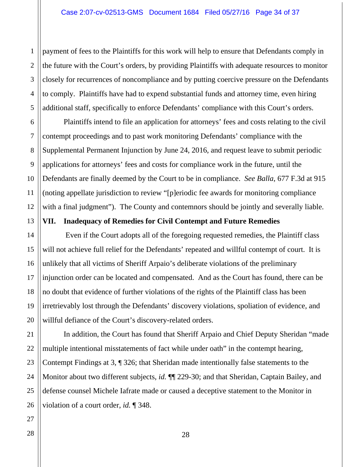payment of fees to the Plaintiffs for this work will help to ensure that Defendants comply in the future with the Court's orders, by providing Plaintiffs with adequate resources to monitor closely for recurrences of noncompliance and by putting coercive pressure on the Defendants to comply. Plaintiffs have had to expend substantial funds and attorney time, even hiring additional staff, specifically to enforce Defendants' compliance with this Court's orders.

Plaintiffs intend to file an application for attorneys' fees and costs relating to the civil contempt proceedings and to past work monitoring Defendants' compliance with the Supplemental Permanent Injunction by June 24, 2016, and request leave to submit periodic applications for attorneys' fees and costs for compliance work in the future, until the Defendants are finally deemed by the Court to be in compliance. *See Balla*, 677 F.3d at 915 (noting appellate jurisdiction to review "[p]eriodic fee awards for monitoring compliance with a final judgment"). The County and contemnors should be jointly and severally liable.

#### **VII. Inadequacy of Remedies for Civil Contempt and Future Remedies**

Even if the Court adopts all of the foregoing requested remedies, the Plaintiff class will not achieve full relief for the Defendants' repeated and willful contempt of court. It is unlikely that all victims of Sheriff Arpaio's deliberate violations of the preliminary injunction order can be located and compensated. And as the Court has found, there can be no doubt that evidence of further violations of the rights of the Plaintiff class has been irretrievably lost through the Defendants' discovery violations, spoliation of evidence, and willful defiance of the Court's discovery-related orders.

In addition, the Court has found that Sheriff Arpaio and Chief Deputy Sheridan "made multiple intentional misstatements of fact while under oath" in the contempt hearing, Contempt Findings at 3, ¶ 326; that Sheridan made intentionally false statements to the Monitor about two different subjects, *id.* ¶¶ 229-30; and that Sheridan, Captain Bailey, and defense counsel Michele Iafrate made or caused a deceptive statement to the Monitor in violation of a court order, *id.* ¶ 348.

1

2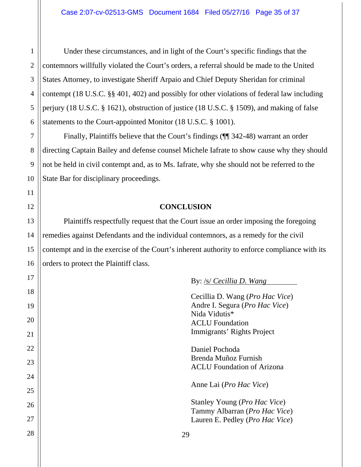Under these circumstances, and in light of the Court's specific findings that the contemnors willfully violated the Court's orders, a referral should be made to the United States Attorney, to investigate Sheriff Arpaio and Chief Deputy Sheridan for criminal contempt (18 U.S.C. §§ 401, 402) and possibly for other violations of federal law including perjury (18 U.S.C. § 1621), obstruction of justice (18 U.S.C. § 1509), and making of false statements to the Court-appointed Monitor (18 U.S.C. § 1001).

Finally, Plaintiffs believe that the Court's findings (¶¶ 342-48) warrant an order directing Captain Bailey and defense counsel Michele Iafrate to show cause why they should not be held in civil contempt and, as to Ms. Iafrate, why she should not be referred to the State Bar for disciplinary proceedings.

#### **CONCLUSION**

Plaintiffs respectfully request that the Court issue an order imposing the foregoing remedies against Defendants and the individual contemnors, as a remedy for the civil contempt and in the exercise of the Court's inherent authority to enforce compliance with its orders to protect the Plaintiff class.

| Cecillia D. Wang ( <i>Pro Hac Vice</i> )<br>Andre I. Segura (Pro Hac Vice)<br>Nida Vidutis*<br><b>ACLU</b> Foundation<br>Immigrants' Rights Project |
|-----------------------------------------------------------------------------------------------------------------------------------------------------|
| Daniel Pochoda<br>Brenda Muñoz Furnish<br><b>ACLU</b> Foundation of Arizona                                                                         |
| Anne Lai ( <i>Pro Hac Vice</i> )                                                                                                                    |
| Stanley Young ( <i>Pro Hac Vice</i> )<br>Tammy Albarran (Pro Hac Vice)<br>Lauren E. Pedley (Pro Hac Vice)                                           |
| 29                                                                                                                                                  |

By: /s/ *Cecillia D. Wang*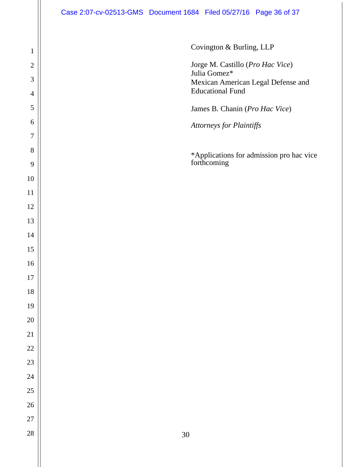Covington & Burling, LLP Jorge M. Castillo (*Pro Hac Vice*) Julia Gomez\* Mexican American Legal Defense and Educational Fund James B. Chanin (*Pro Hac Vice*) *Attorneys for Plaintiffs*  \*Applications for admission pro hac vice forthcoming